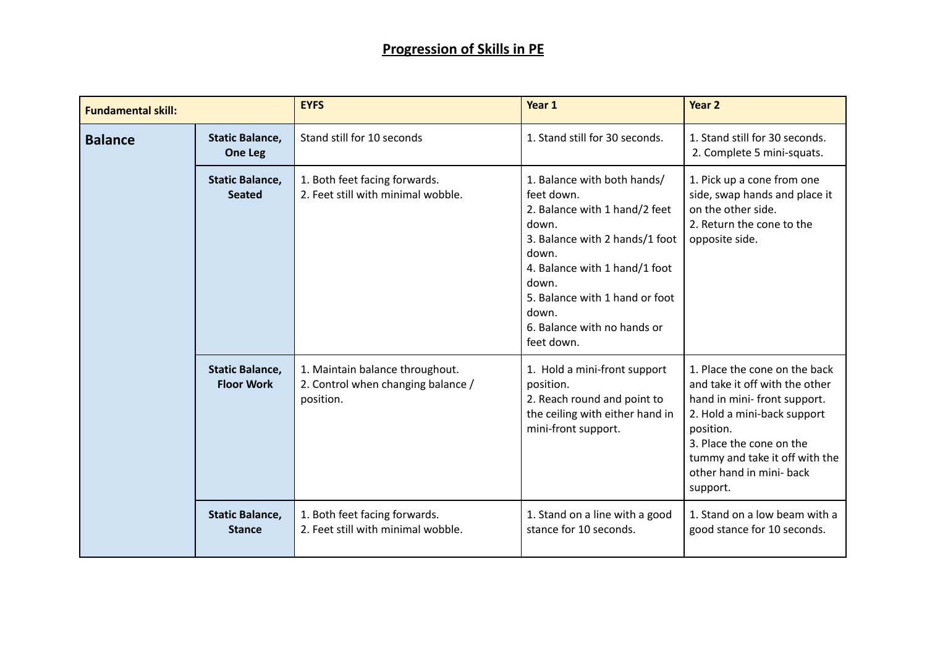| <b>Fundamental skill:</b> |                                             | <b>EYFS</b>                                                                        | Year 1                                                                                                                                                                                                                                                           | Year <sub>2</sub>                                                                                                                                                                                                                                |
|---------------------------|---------------------------------------------|------------------------------------------------------------------------------------|------------------------------------------------------------------------------------------------------------------------------------------------------------------------------------------------------------------------------------------------------------------|--------------------------------------------------------------------------------------------------------------------------------------------------------------------------------------------------------------------------------------------------|
| <b>Balance</b>            | <b>Static Balance,</b><br>One Leg           | Stand still for 10 seconds                                                         | 1. Stand still for 30 seconds.                                                                                                                                                                                                                                   | 1. Stand still for 30 seconds.<br>2. Complete 5 mini-squats.                                                                                                                                                                                     |
|                           | <b>Static Balance,</b><br><b>Seated</b>     | 1. Both feet facing forwards.<br>2. Feet still with minimal wobble.                | 1. Balance with both hands/<br>feet down.<br>2. Balance with 1 hand/2 feet<br>down.<br>3. Balance with 2 hands/1 foot<br>down.<br>4. Balance with 1 hand/1 foot<br>down.<br>5. Balance with 1 hand or foot<br>down.<br>6. Balance with no hands or<br>feet down. | 1. Pick up a cone from one<br>side, swap hands and place it<br>on the other side.<br>2. Return the cone to the<br>opposite side.                                                                                                                 |
|                           | <b>Static Balance,</b><br><b>Floor Work</b> | 1. Maintain balance throughout.<br>2. Control when changing balance /<br>position. | 1. Hold a mini-front support<br>position.<br>2. Reach round and point to<br>the ceiling with either hand in<br>mini-front support.                                                                                                                               | 1. Place the cone on the back<br>and take it off with the other<br>hand in mini-front support.<br>2. Hold a mini-back support<br>position.<br>3. Place the cone on the<br>tummy and take it off with the<br>other hand in mini- back<br>support. |
|                           | <b>Static Balance,</b><br><b>Stance</b>     | 1. Both feet facing forwards.<br>2. Feet still with minimal wobble.                | 1. Stand on a line with a good<br>stance for 10 seconds.                                                                                                                                                                                                         | 1. Stand on a low beam with a<br>good stance for 10 seconds.                                                                                                                                                                                     |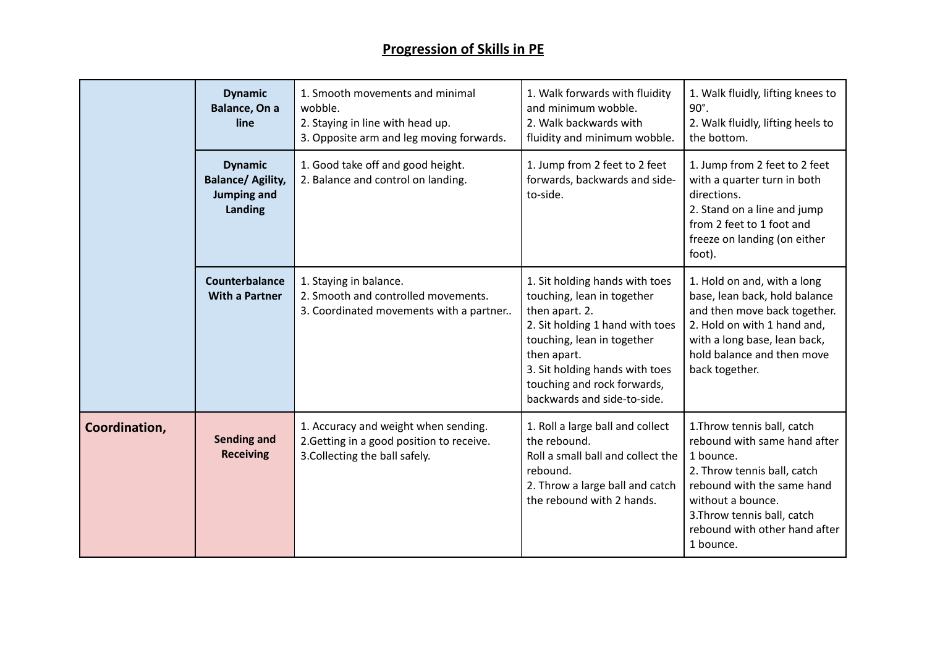|               | <b>Dynamic</b><br>Balance, On a<br>line                                     | 1. Smooth movements and minimal<br>wobble.<br>2. Staying in line with head up.<br>3. Opposite arm and leg moving forwards. | 1. Walk forwards with fluidity<br>and minimum wobble.<br>2. Walk backwards with<br>fluidity and minimum wobble.                                                                                                                                                | 1. Walk fluidly, lifting knees to<br>90°.<br>2. Walk fluidly, lifting heels to<br>the bottom.                                                                                                                                          |
|---------------|-----------------------------------------------------------------------------|----------------------------------------------------------------------------------------------------------------------------|----------------------------------------------------------------------------------------------------------------------------------------------------------------------------------------------------------------------------------------------------------------|----------------------------------------------------------------------------------------------------------------------------------------------------------------------------------------------------------------------------------------|
|               | <b>Dynamic</b><br><b>Balance/ Agility,</b><br><b>Jumping and</b><br>Landing | 1. Good take off and good height.<br>2. Balance and control on landing.                                                    | 1. Jump from 2 feet to 2 feet<br>forwards, backwards and side-<br>to-side.                                                                                                                                                                                     | 1. Jump from 2 feet to 2 feet<br>with a quarter turn in both<br>directions.<br>2. Stand on a line and jump<br>from 2 feet to 1 foot and<br>freeze on landing (on either<br>foot).                                                      |
|               | Counterbalance<br><b>With a Partner</b>                                     | 1. Staying in balance.<br>2. Smooth and controlled movements.<br>3. Coordinated movements with a partner                   | 1. Sit holding hands with toes<br>touching, lean in together<br>then apart. 2.<br>2. Sit holding 1 hand with toes<br>touching, lean in together<br>then apart.<br>3. Sit holding hands with toes<br>touching and rock forwards,<br>backwards and side-to-side. | 1. Hold on and, with a long<br>base, lean back, hold balance<br>and then move back together.<br>2. Hold on with 1 hand and,<br>with a long base, lean back,<br>hold balance and then move<br>back together.                            |
| Coordination, | <b>Sending and</b><br><b>Receiving</b>                                      | 1. Accuracy and weight when sending.<br>2. Getting in a good position to receive.<br>3. Collecting the ball safely.        | 1. Roll a large ball and collect<br>the rebound.<br>Roll a small ball and collect the<br>rebound.<br>2. Throw a large ball and catch<br>the rebound with 2 hands.                                                                                              | 1.Throw tennis ball, catch<br>rebound with same hand after<br>1 bounce.<br>2. Throw tennis ball, catch<br>rebound with the same hand<br>without a bounce.<br>3. Throw tennis ball, catch<br>rebound with other hand after<br>1 bounce. |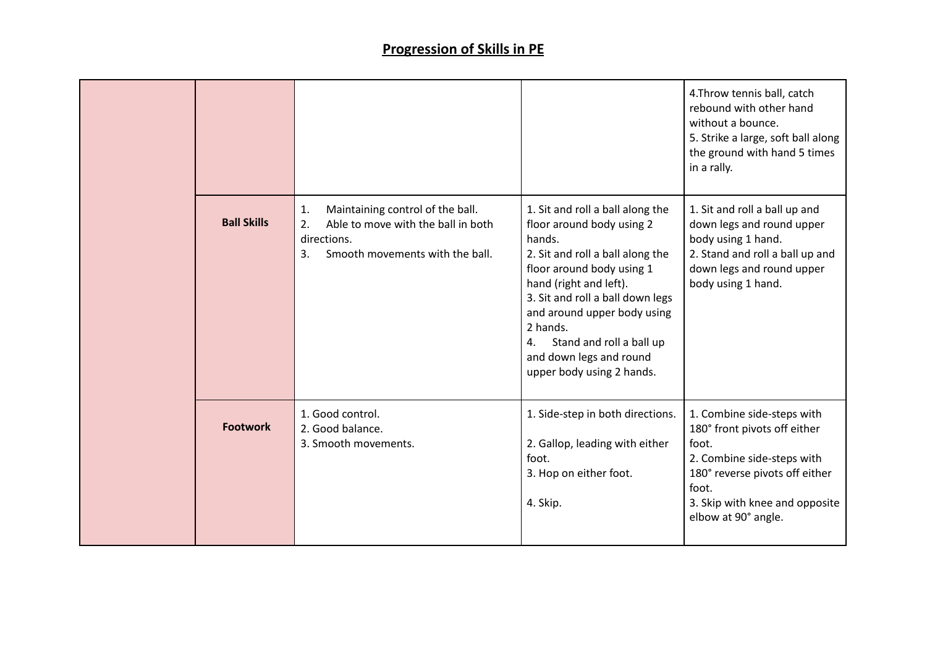|                    |                                                                                                                                            |                                                                                                                                                                                                                                                                                                                                             | 4. Throw tennis ball, catch<br>rebound with other hand<br>without a bounce.<br>5. Strike a large, soft ball along<br>the ground with hand 5 times<br>in a rally.                                      |
|--------------------|--------------------------------------------------------------------------------------------------------------------------------------------|---------------------------------------------------------------------------------------------------------------------------------------------------------------------------------------------------------------------------------------------------------------------------------------------------------------------------------------------|-------------------------------------------------------------------------------------------------------------------------------------------------------------------------------------------------------|
| <b>Ball Skills</b> | Maintaining control of the ball.<br>1.<br>Able to move with the ball in both<br>2.<br>directions.<br>Smooth movements with the ball.<br>3. | 1. Sit and roll a ball along the<br>floor around body using 2<br>hands.<br>2. Sit and roll a ball along the<br>floor around body using 1<br>hand (right and left).<br>3. Sit and roll a ball down legs<br>and around upper body using<br>2 hands.<br>Stand and roll a ball up<br>4.<br>and down legs and round<br>upper body using 2 hands. | 1. Sit and roll a ball up and<br>down legs and round upper<br>body using 1 hand.<br>2. Stand and roll a ball up and<br>down legs and round upper<br>body using 1 hand.                                |
| <b>Footwork</b>    | 1. Good control.<br>2. Good balance.<br>3. Smooth movements.                                                                               | 1. Side-step in both directions.<br>2. Gallop, leading with either<br>foot.<br>3. Hop on either foot.<br>4. Skip.                                                                                                                                                                                                                           | 1. Combine side-steps with<br>180° front pivots off either<br>foot.<br>2. Combine side-steps with<br>180° reverse pivots off either<br>foot.<br>3. Skip with knee and opposite<br>elbow at 90° angle. |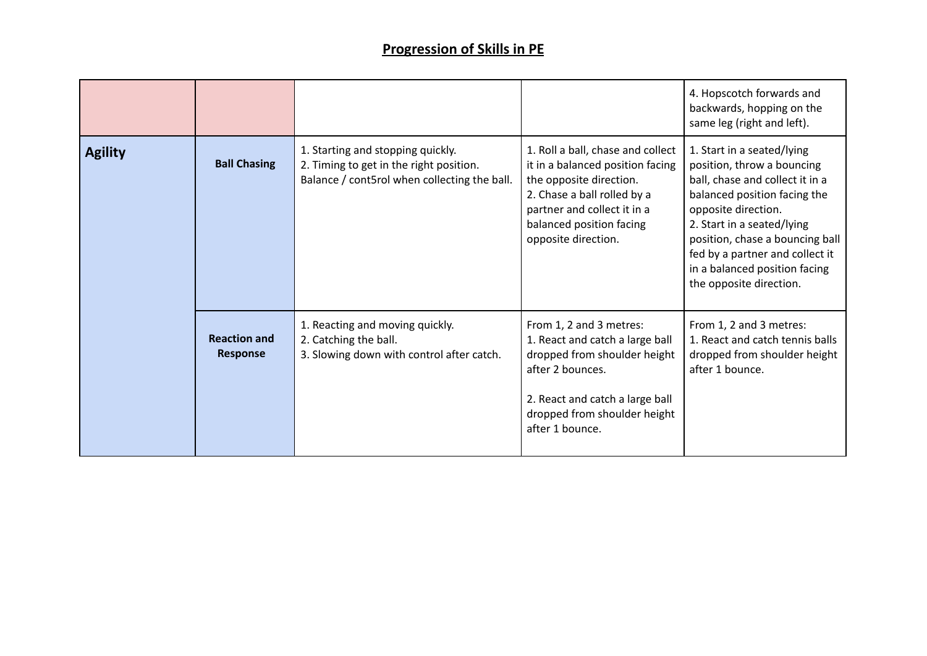|                |                                        |                                                                                                                              |                                                                                                                                                                                                                   | 4. Hopscotch forwards and<br>backwards, hopping on the<br>same leg (right and left).                                                                                                                                                                                                                               |
|----------------|----------------------------------------|------------------------------------------------------------------------------------------------------------------------------|-------------------------------------------------------------------------------------------------------------------------------------------------------------------------------------------------------------------|--------------------------------------------------------------------------------------------------------------------------------------------------------------------------------------------------------------------------------------------------------------------------------------------------------------------|
| <b>Agility</b> | <b>Ball Chasing</b>                    | 1. Starting and stopping quickly.<br>2. Timing to get in the right position.<br>Balance / cont5rol when collecting the ball. | 1. Roll a ball, chase and collect<br>it in a balanced position facing<br>the opposite direction.<br>2. Chase a ball rolled by a<br>partner and collect it in a<br>balanced position facing<br>opposite direction. | 1. Start in a seated/lying<br>position, throw a bouncing<br>ball, chase and collect it in a<br>balanced position facing the<br>opposite direction.<br>2. Start in a seated/lying<br>position, chase a bouncing ball<br>fed by a partner and collect it<br>in a balanced position facing<br>the opposite direction. |
|                | <b>Reaction and</b><br><b>Response</b> | 1. Reacting and moving quickly.<br>2. Catching the ball.<br>3. Slowing down with control after catch.                        | From 1, 2 and 3 metres:<br>1. React and catch a large ball<br>dropped from shoulder height<br>after 2 bounces.<br>2. React and catch a large ball<br>dropped from shoulder height<br>after 1 bounce.              | From 1, 2 and 3 metres:<br>1. React and catch tennis balls<br>dropped from shoulder height<br>after 1 bounce.                                                                                                                                                                                                      |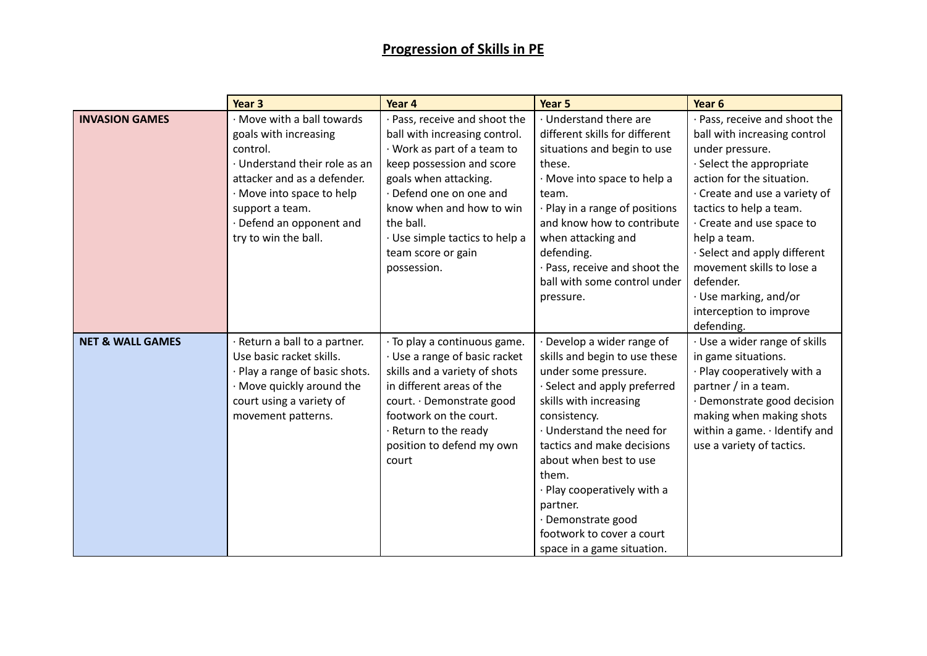|                             | Year <sub>3</sub>                                                                                                                                                                                                                   | Year 4                                                                                                                                                                                                                                                                                     | Year 5                                                                                                                                                                                                                                                                                                                                                                                | Year 6                                                                                                                                                                                                                                                                                                                   |
|-----------------------------|-------------------------------------------------------------------------------------------------------------------------------------------------------------------------------------------------------------------------------------|--------------------------------------------------------------------------------------------------------------------------------------------------------------------------------------------------------------------------------------------------------------------------------------------|---------------------------------------------------------------------------------------------------------------------------------------------------------------------------------------------------------------------------------------------------------------------------------------------------------------------------------------------------------------------------------------|--------------------------------------------------------------------------------------------------------------------------------------------------------------------------------------------------------------------------------------------------------------------------------------------------------------------------|
| <b>INVASION GAMES</b>       | · Move with a ball towards<br>goals with increasing<br>control.<br>· Understand their role as an<br>attacker and as a defender.<br>· Move into space to help<br>support a team.<br>· Defend an opponent and<br>try to win the ball. | Pass, receive and shoot the<br>ball with increasing control.<br>· Work as part of a team to<br>keep possession and score<br>goals when attacking.<br>Defend one on one and<br>know when and how to win<br>the ball.<br>· Use simple tactics to help a<br>team score or gain<br>possession. | · Understand there are<br>different skills for different<br>situations and begin to use<br>these.<br>· Move into space to help a<br>team.<br>· Play in a range of positions<br>and know how to contribute<br>when attacking and<br>defending.<br>· Pass, receive and shoot the<br>ball with some control under                                                                        | Pass, receive and shoot the<br>ball with increasing control<br>under pressure.<br>· Select the appropriate<br>action for the situation.<br>· Create and use a variety of<br>tactics to help a team.<br>Create and use space to<br>help a team.<br>· Select and apply different<br>movement skills to lose a<br>defender. |
|                             |                                                                                                                                                                                                                                     |                                                                                                                                                                                                                                                                                            | pressure.                                                                                                                                                                                                                                                                                                                                                                             | · Use marking, and/or<br>interception to improve<br>defending.                                                                                                                                                                                                                                                           |
| <b>NET &amp; WALL GAMES</b> | Return a ball to a partner.<br>Use basic racket skills.<br>· Play a range of basic shots.<br>· Move quickly around the<br>court using a variety of<br>movement patterns.                                                            | · To play a continuous game.<br>· Use a range of basic racket<br>skills and a variety of shots<br>in different areas of the<br>court. · Demonstrate good<br>footwork on the court.<br>Return to the ready<br>position to defend my own<br>court                                            | Develop a wider range of<br>skills and begin to use these<br>under some pressure.<br>· Select and apply preferred<br>skills with increasing<br>consistency.<br>· Understand the need for<br>tactics and make decisions<br>about when best to use<br>them.<br>· Play cooperatively with a<br>partner.<br>· Demonstrate good<br>footwork to cover a court<br>space in a game situation. | · Use a wider range of skills<br>in game situations.<br>Play cooperatively with a<br>partner / in a team.<br>Demonstrate good decision<br>making when making shots<br>within a game. · Identify and<br>use a variety of tactics.                                                                                         |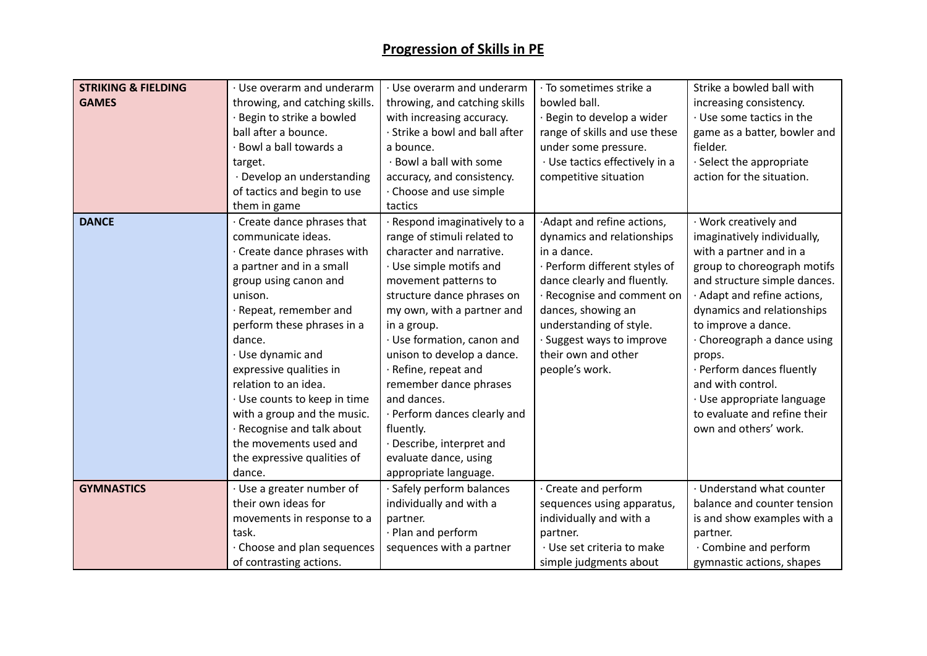| <b>STRIKING &amp; FIELDING</b><br><b>GAMES</b> | · Use overarm and underarm<br>throwing, and catching skills.<br>· Begin to strike a bowled<br>ball after a bounce.<br>· Bowl a ball towards a<br>target.<br>· Develop an understanding<br>of tactics and begin to use<br>them in game                                                                                                                                                                                                                    | · Use overarm and underarm<br>throwing, and catching skills<br>with increasing accuracy.<br>· Strike a bowl and ball after<br>a bounce.<br>· Bowl a ball with some<br>accuracy, and consistency.<br>Choose and use simple<br>tactics                                                                                                                                                                                                                                           | · To sometimes strike a<br>bowled ball.<br>· Begin to develop a wider<br>range of skills and use these<br>under some pressure.<br>· Use tactics effectively in a<br>competitive situation                                                                                                  | Strike a bowled ball with<br>increasing consistency.<br>· Use some tactics in the<br>game as a batter, bowler and<br>fielder.<br>· Select the appropriate<br>action for the situation.                                                                                                                                                                                                                             |
|------------------------------------------------|----------------------------------------------------------------------------------------------------------------------------------------------------------------------------------------------------------------------------------------------------------------------------------------------------------------------------------------------------------------------------------------------------------------------------------------------------------|--------------------------------------------------------------------------------------------------------------------------------------------------------------------------------------------------------------------------------------------------------------------------------------------------------------------------------------------------------------------------------------------------------------------------------------------------------------------------------|--------------------------------------------------------------------------------------------------------------------------------------------------------------------------------------------------------------------------------------------------------------------------------------------|--------------------------------------------------------------------------------------------------------------------------------------------------------------------------------------------------------------------------------------------------------------------------------------------------------------------------------------------------------------------------------------------------------------------|
| <b>DANCE</b>                                   | Create dance phrases that<br>communicate ideas.<br>· Create dance phrases with<br>a partner and in a small<br>group using canon and<br>unison.<br>· Repeat, remember and<br>perform these phrases in a<br>dance.<br>· Use dynamic and<br>expressive qualities in<br>relation to an idea.<br>· Use counts to keep in time<br>with a group and the music.<br>· Recognise and talk about<br>the movements used and<br>the expressive qualities of<br>dance. | · Respond imaginatively to a<br>range of stimuli related to<br>character and narrative.<br>· Use simple motifs and<br>movement patterns to<br>structure dance phrases on<br>my own, with a partner and<br>in a group.<br>· Use formation, canon and<br>unison to develop a dance.<br>· Refine, repeat and<br>remember dance phrases<br>and dances.<br>· Perform dances clearly and<br>fluently.<br>· Describe, interpret and<br>evaluate dance, using<br>appropriate language. | ·Adapt and refine actions,<br>dynamics and relationships<br>in a dance.<br>· Perform different styles of<br>dance clearly and fluently.<br>Recognise and comment on<br>dances, showing an<br>understanding of style.<br>· Suggest ways to improve<br>their own and other<br>people's work. | · Work creatively and<br>imaginatively individually,<br>with a partner and in a<br>group to choreograph motifs<br>and structure simple dances.<br>Adapt and refine actions,<br>dynamics and relationships<br>to improve a dance.<br>· Choreograph a dance using<br>props.<br>· Perform dances fluently<br>and with control.<br>· Use appropriate language<br>to evaluate and refine their<br>own and others' work. |
| <b>GYMNASTICS</b>                              | $\cdot$ Use a greater number of<br>their own ideas for<br>movements in response to a                                                                                                                                                                                                                                                                                                                                                                     | · Safely perform balances<br>individually and with a<br>partner.                                                                                                                                                                                                                                                                                                                                                                                                               | Create and perform<br>sequences using apparatus,<br>individually and with a                                                                                                                                                                                                                | · Understand what counter<br>balance and counter tension<br>is and show examples with a                                                                                                                                                                                                                                                                                                                            |
|                                                | task.<br>$\cdot$ Choose and plan sequences<br>of contrasting actions.                                                                                                                                                                                                                                                                                                                                                                                    | · Plan and perform<br>sequences with a partner                                                                                                                                                                                                                                                                                                                                                                                                                                 | partner.<br>· Use set criteria to make<br>simple judgments about                                                                                                                                                                                                                           | partner.<br>· Combine and perform<br>gymnastic actions, shapes                                                                                                                                                                                                                                                                                                                                                     |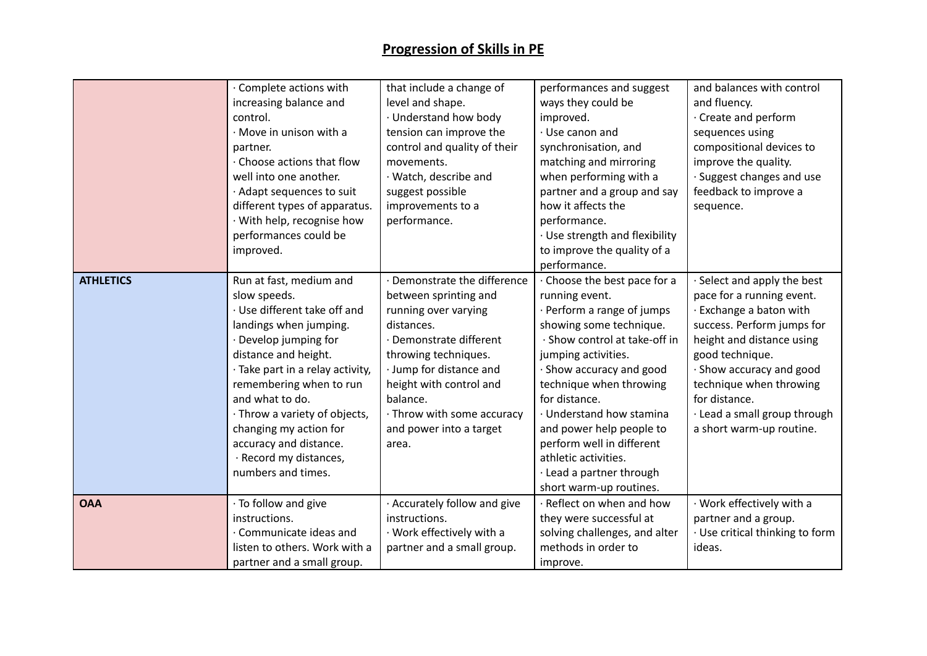|                  | · Complete actions with<br>increasing balance and<br>control.<br>· Move in unison with a<br>partner.<br>· Choose actions that flow<br>well into one another.<br>· Adapt sequences to suit<br>different types of apparatus.<br>· With help, recognise how                                                                                                                  | that include a change of<br>level and shape.<br>· Understand how body<br>tension can improve the<br>control and quality of their<br>movements.<br>· Watch, describe and<br>suggest possible<br>improvements to a<br>performance.                                                   | performances and suggest<br>ways they could be<br>improved.<br>$\cdot$ Use canon and<br>synchronisation, and<br>matching and mirroring<br>when performing with a<br>partner and a group and say<br>how it affects the<br>performance.                                                                                                                                                                     | and balances with control<br>and fluency.<br>Create and perform<br>sequences using<br>compositional devices to<br>improve the quality.<br>· Suggest changes and use<br>feedback to improve a<br>sequence.                                                                                             |
|------------------|---------------------------------------------------------------------------------------------------------------------------------------------------------------------------------------------------------------------------------------------------------------------------------------------------------------------------------------------------------------------------|------------------------------------------------------------------------------------------------------------------------------------------------------------------------------------------------------------------------------------------------------------------------------------|-----------------------------------------------------------------------------------------------------------------------------------------------------------------------------------------------------------------------------------------------------------------------------------------------------------------------------------------------------------------------------------------------------------|-------------------------------------------------------------------------------------------------------------------------------------------------------------------------------------------------------------------------------------------------------------------------------------------------------|
|                  | performances could be<br>improved.                                                                                                                                                                                                                                                                                                                                        |                                                                                                                                                                                                                                                                                    | · Use strength and flexibility<br>to improve the quality of a<br>performance.                                                                                                                                                                                                                                                                                                                             |                                                                                                                                                                                                                                                                                                       |
| <b>ATHLETICS</b> | Run at fast, medium and<br>slow speeds.<br>· Use different take off and<br>landings when jumping.<br>· Develop jumping for<br>distance and height.<br>· Take part in a relay activity,<br>remembering when to run<br>and what to do.<br>· Throw a variety of objects,<br>changing my action for<br>accuracy and distance.<br>· Record my distances,<br>numbers and times. | · Demonstrate the difference<br>between sprinting and<br>running over varying<br>distances.<br>· Demonstrate different<br>throwing techniques.<br>· Jump for distance and<br>height with control and<br>balance.<br>· Throw with some accuracy<br>and power into a target<br>area. | Choose the best pace for a<br>running event.<br>· Perform a range of jumps<br>showing some technique.<br>· Show control at take-off in<br>jumping activities.<br>· Show accuracy and good<br>technique when throwing<br>for distance.<br>· Understand how stamina<br>and power help people to<br>perform well in different<br>athletic activities.<br>· Lead a partner through<br>short warm-up routines. | · Select and apply the best<br>pace for a running event.<br>· Exchange a baton with<br>success. Perform jumps for<br>height and distance using<br>good technique.<br>· Show accuracy and good<br>technique when throwing<br>for distance.<br>· Lead a small group through<br>a short warm-up routine. |
| <b>OAA</b>       | · To follow and give<br>instructions.<br>· Communicate ideas and<br>listen to others. Work with a<br>partner and a small group.                                                                                                                                                                                                                                           | · Accurately follow and give<br>instructions.<br>· Work effectively with a<br>partner and a small group.                                                                                                                                                                           | · Reflect on when and how<br>they were successful at<br>solving challenges, and alter<br>methods in order to<br>improve.                                                                                                                                                                                                                                                                                  | · Work effectively with a<br>partner and a group.<br>· Use critical thinking to form<br>ideas.                                                                                                                                                                                                        |